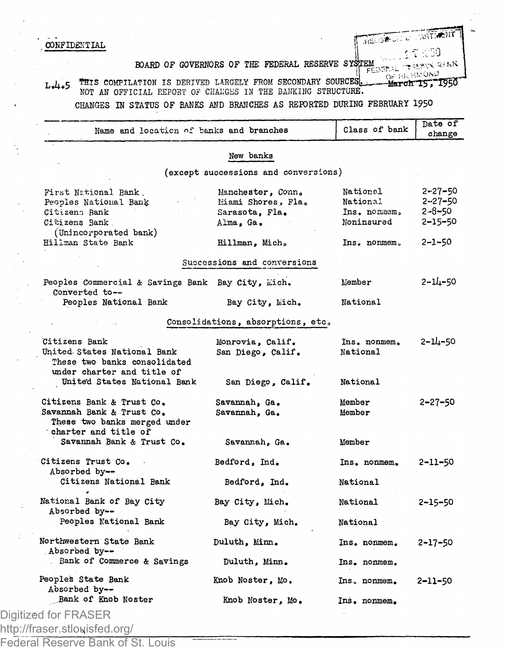## **CONFIDENTIAL**

BOARD OF GOVERNORS OF THE FEDERAL RESERVE SYSTEM.. . v v?,K

HELDRUI L. JUST WIT  $: 50$ 

OF HUHROND<br>**March 15, 1950**  $L_4$ ,  $5$   $H$  is compilation is derived largely from secondary sources. NOT AN OFFICIAL REPORT OF CHANGES IN THE BANKING STRUCTURE.

CHANGES IN STATUS OF BANKS AND BRANCHES AS REPORTED DURING FEBRUARY 1950

| Name and location of banks and branches                                                                        |                                                                        | Class of bank                                      | Date of<br>change                                               |
|----------------------------------------------------------------------------------------------------------------|------------------------------------------------------------------------|----------------------------------------------------|-----------------------------------------------------------------|
|                                                                                                                | New banks                                                              |                                                    |                                                                 |
|                                                                                                                | (except successions and conversions)                                   |                                                    |                                                                 |
| First National Bank.<br>Peoples National Bank<br>Citizens Bank<br>Citizens Bank<br>(Unincorporated bank)       | Manchester, Conn.<br>Miami Shores. Fla.<br>Sarasota, Fla.<br>Alma, Ga. | National<br>National<br>Ins. nonmem.<br>Noninsured | $2 - 27 - 50$<br>$2 - 27 - 50$<br>$2 - 8 - 50$<br>$2 - 15 - 50$ |
| Hillman State Bank                                                                                             | Hillman, Mich.                                                         | Ins. nonmem.                                       | $-2 - 1 - 50$                                                   |
|                                                                                                                | Successions and conversions                                            |                                                    |                                                                 |
| Peoples Commercial & Savings Bank Bay City, Mich.<br>Converted to --                                           |                                                                        | Member                                             | $2 - 14 - 50$                                                   |
| Peoples National Bank                                                                                          | Bay City, Mich.                                                        | National                                           |                                                                 |
|                                                                                                                | Consolidations, absorptions, etc.                                      |                                                    |                                                                 |
| Citizens Bank<br>United States National Bank<br>These two banks consolidated<br>under charter and title of     | Monrovia, Calif.<br>San Diego, Calif.                                  | Ins. nonmem.<br>National                           | 2-14-50                                                         |
| United States National Bank                                                                                    | San Diego, Calif.                                                      | National                                           |                                                                 |
| Citizens Bank & Trust Co.<br>Savannah Bank & Trust Co.<br>These two banks merged under<br>charter and title of | Savannah, Ga.<br>Savannah. Ga.                                         | Member<br>Member                                   | 2–27–50                                                         |
| Savannah Bank & Trust Co.                                                                                      | Savannah, Ga.                                                          | Member                                             |                                                                 |
| Citizens Trust Co.<br>Absorbed by--                                                                            | Bedford, Ind.                                                          | Ins. nonmem.                                       | 2-11-50                                                         |
| Citizens National Bank                                                                                         | Bedford, Ind.                                                          | National                                           |                                                                 |
| National Bank of Bay City<br>Absorbed by--                                                                     | Bay City, Mich.                                                        | National                                           | 2–15–50                                                         |
| Peoples National Bank                                                                                          | Bay City, Mich.                                                        | National                                           |                                                                 |
| Northwestern State Bank<br>Absorbed by--                                                                       | Duluth, Minn.                                                          | Ins. nonmem.                                       | 2-17-50                                                         |
| Bank of Commerce & Savings                                                                                     | Duluth, Minn.                                                          | Ins. nonmem.                                       |                                                                 |
| Peoples State Bank<br>Absorbed by--                                                                            | Knob Noster, Mo.                                                       | Ins. nonmem.                                       | 2-11-50                                                         |
| Bank of Knob Noster<br>Digitized for FRASER                                                                    | Knob Noster, Mo.                                                       | Ins. nonmem.                                       |                                                                 |
|                                                                                                                |                                                                        |                                                    |                                                                 |

http://fraser.stlouisfed.org/

Federal Reserve Bank of St. Louis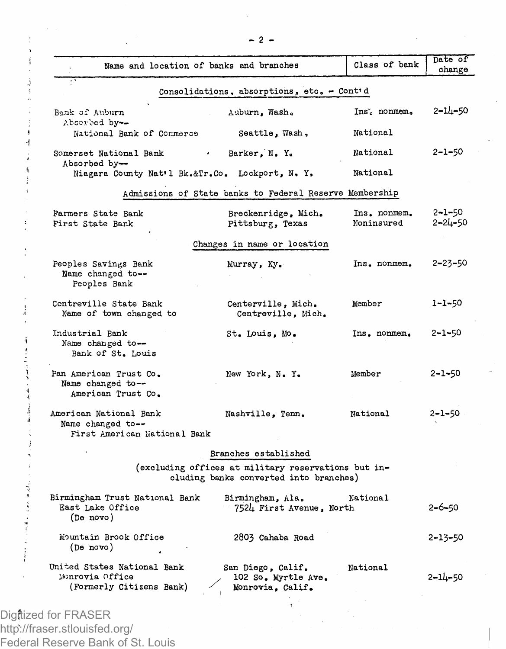| Name and location of banks and branches                                      |                                                                                               | Class of bank              | Date of<br>change             |
|------------------------------------------------------------------------------|-----------------------------------------------------------------------------------------------|----------------------------|-------------------------------|
|                                                                              | Consolidations, absorptions, etc. - Cont'd                                                    |                            |                               |
| Bank of Auburn                                                               | Auburn, Wash.                                                                                 | Ins. nonmem.               | 2-14-50                       |
| Absorbed by --<br>National Bank of Commerce                                  | Seattle, Wash,                                                                                | National                   |                               |
| Somerset National Bank<br><b>Contract</b><br>Absorbed by-                    | Barker, N. Y.                                                                                 | National                   | $2 - 1 - 50$                  |
| Niagara County Nat'l Bk.&Tr.Co. Lockport, N. Y.                              |                                                                                               | National                   |                               |
|                                                                              | Admissions of State banks to Federal Reserve Membership                                       |                            |                               |
| Farmers State Bank<br>First State Bank                                       | Breckenridge, Mich.<br>Pittsburg, Texas                                                       | Ins. nonmem.<br>Noninsured | $2 - 1 - 50$<br>$2 - 24 - 50$ |
|                                                                              | Changes in name or location                                                                   |                            |                               |
| Peoples Savings Bank<br>Name changed to --<br>Peoples Bank                   | Murray, Ky.                                                                                   | Ins. nonmem.               | 2-23-50                       |
| Centreville State Bank<br>Name of town changed to                            | Centerville, Mich.<br>Centreville, Mich.                                                      | Member                     | $1 - 1 - 50$                  |
| Industrial Bank<br>Name changed to --<br>Bank of St. Louis                   | St. Louis, Mo.                                                                                | Ins. nonmem.               | $2 - 1 - 50$                  |
| Pan American Trust Co.<br>Name changed to--<br>American Trust Co.            | New York, N.Y.                                                                                | Member                     | 2-1-50                        |
| American National Bank<br>Name changed to --<br>First American National Bank | Nashville, Tenn.                                                                              | National                   | $2 - 1 - 50$                  |
|                                                                              | Branches established                                                                          |                            |                               |
|                                                                              | (excluding offices at military reservations but in-<br>cluding banks converted into branches) |                            |                               |
| Birmingham Trust National Bank<br>East Lake Office<br>(De novo)              | Birmingham, Ala.<br>7524 First Avenue, North                                                  | National                   | $2 - 6 - 50$                  |
| Mountain Brook Office<br>(De novo)                                           | 2803 Cahaba Road                                                                              |                            | 2-13-50                       |
| United States National Bank<br>Monrovia Office<br>(Formerly Citizens Bank)   | San Diego, Calif.<br>102 So. Myrtle Ave.<br>Monrovia, Calif.                                  | National                   | 2-14-50                       |
|                                                                              |                                                                                               |                            |                               |

Digitized for FRASER http://fraser.stlouisfed.org/ Federal Reserve Bank of St. Louis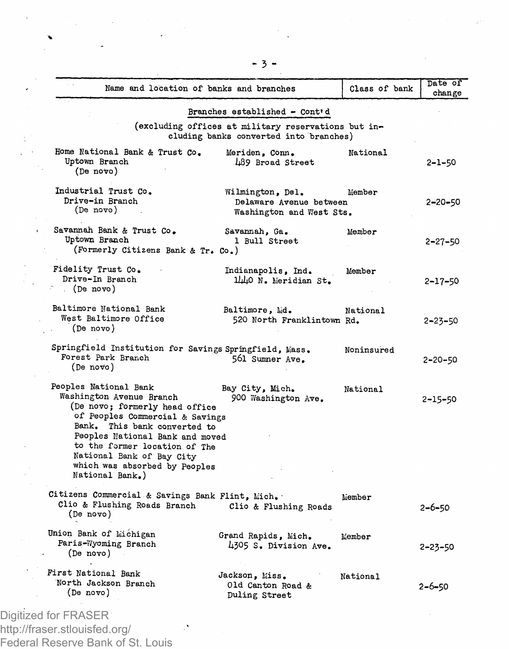|                                                                                                                                                                                                                                                                                                             | Name and location of banks and branches                                                       | Class of bank   | change        |
|-------------------------------------------------------------------------------------------------------------------------------------------------------------------------------------------------------------------------------------------------------------------------------------------------------------|-----------------------------------------------------------------------------------------------|-----------------|---------------|
|                                                                                                                                                                                                                                                                                                             | Branches established - Cont'd                                                                 |                 |               |
|                                                                                                                                                                                                                                                                                                             | (excluding offices at military reservations but in-<br>cluding banks converted into branches) |                 |               |
| Home National Bank & Trust Co.<br>Uptown Branch<br>(De nov)                                                                                                                                                                                                                                                 | Meriden, Conn.<br>489 Broad Street                                                            | National        | 2-1-50        |
| Industrial Trust Co.<br>Drive-in Branch<br>(De novo)                                                                                                                                                                                                                                                        | Wilmington, Del.<br>Delaware Avenue between<br>Washington and West Sts.                       | Member          | $2 - 20 - 50$ |
| Savannah Bank & Trust Co.<br>Uptown Branch<br>(Formerly Citizens Bank & Tr. Co.)                                                                                                                                                                                                                            | Savannah, Ga.<br>1 Bull Street                                                                | Member          | $2 - 27 - 50$ |
| Fidelity Trust Co.<br>Drive-In Branch<br>(De novo)                                                                                                                                                                                                                                                          | Indianapolis, Ind.<br>1440 N. Meridian St.                                                    | Member          | $2 - 17 - 50$ |
| Baltimore National Bank<br>West Baltimore Office<br>(De novo)                                                                                                                                                                                                                                               | Baltimore, Md.<br>520 North Franklintown Rd.                                                  | National        | $2 - 23 - 50$ |
| Springfield Institution for Savings Springfield, Mass.<br>Forest Park Branch<br>(De novo)                                                                                                                                                                                                                   | 561 Summer Ave.                                                                               | Noninsured      | $2 - 20 - 50$ |
| Peoples National Bank<br>Washington Avenue Branch<br>(De novo; formerly head office<br>of Peoples Commercial & Savings<br>Bank. This bank converted to<br>Peoples National Bank and moved<br>to the former location of The<br>National Bank of Bay City<br>which was absorbed by Peoples<br>National Bank.) | Bay City, Mich.<br>900 Washington Ave.                                                        | National        | 2-15-50       |
| Citizens Commercial & Savings Bank Flint, Mich.<br>Clio & Flushing Roads Branch<br>(De novo)                                                                                                                                                                                                                | Clio & Flushing Roads                                                                         | Member          | 2-6-50        |
| Union Bank of Michigan<br>Paris-Wyoming Branch<br>(De novo)                                                                                                                                                                                                                                                 | Grand Rapids, Mich.<br>4305 S. Division Ave.                                                  | Member          | $2 - 23 - 50$ |
| First National Bank<br>North Jackson Branch                                                                                                                                                                                                                                                                 | Jackson, Miss.<br>Old Canton Road &                                                           | <b>National</b> | 2-6-50        |

http://fraser.stlouisfed.org/ Federal Reserve Bank of St. Louis

 $\sim 10^6$ 

**- 3 -**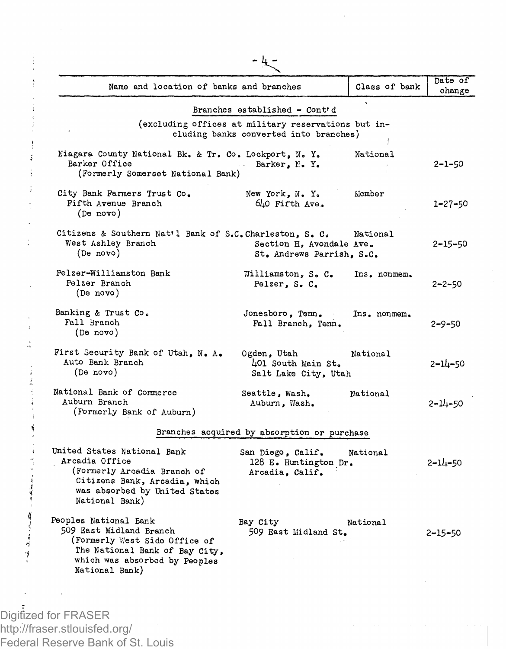| Name and location of banks and branches                                                                                                                                |                                                                                               | Class of bank | Date of<br>change |
|------------------------------------------------------------------------------------------------------------------------------------------------------------------------|-----------------------------------------------------------------------------------------------|---------------|-------------------|
|                                                                                                                                                                        | Branches established - Cont'd                                                                 |               |                   |
|                                                                                                                                                                        | (excluding offices at military reservations but in-<br>cluding banks converted into branches) |               |                   |
| Niagara County National Bk. & Tr. Co. Lockport, N. Y.<br>Barker Office<br>(Formerly Somerset National Bank)                                                            | Barker, M. Y.                                                                                 | National      | $2 - 1 - 50$      |
| City Bank Farmers Trust Co.<br>Fifth Avenue Branch<br>(De novo)                                                                                                        | New York, N. Y.<br>640 Fifth Ave.                                                             | Member        | 1-27-50           |
| Citizens & Southern Nat'l Bank of S.C. Charleston, S. C.<br>West Ashley Branch<br>(De novo)                                                                            | Section H, Avondale Ave.<br>St. Andrews Parrish. S.C.                                         | National      | $2 - 15 - 50$     |
| Pelzer-Williamston Bank<br>Pelzer Branch<br>(De novo)                                                                                                                  | Williamston, S. C.<br>Pelzer, S. C.                                                           | Ins. nonmem.  | $2 - 2 - 50$      |
| Banking & Trust Co.<br>Fall Branch<br>(De novo)                                                                                                                        | Jonesboro, Tenn.<br>Fall Branch, Tenn.                                                        | Ins. nonmem.  | $2 - 9 - 50$      |
| First Security Bank of Utah, N. A.<br>Auto Bank Branch<br>(De novo)                                                                                                    | Ogden, Utah<br>401 South Main St.<br>Salt Lake City, Utah                                     | National      | 2-14-50           |
| National Bank of Commerce<br>Auburn Branch<br>(Formerly Bank of Auburn)                                                                                                | Seattle, Wash.<br>Auburn, Wash.                                                               | National      | 2-14-50           |
|                                                                                                                                                                        | Branches acquired by absorption or purchase                                                   |               |                   |
| United States National Bank<br>Arcadia Office<br>(Formerly Arcadia Branch of<br>Citizens Bank, Arcadia, which<br>was absorbed by United States<br>National Bank)       | San Diego, Calif.<br>128 E. Huntington Dr.<br>Arcadia, Calif.                                 | National      | 2–14–50           |
| Peoples National Bank<br>509 East Midland Branch<br>(Formerly West Side Office of<br>The National Bank of Bay City,<br>which was absorbed by Peoples<br>National Bank) | Bay City<br>509 East Midland St.                                                              | National      | $2 - 15 - 50$     |

http://fraser.stlouisfed.org/

Federal Reserve Bank of St. Louis